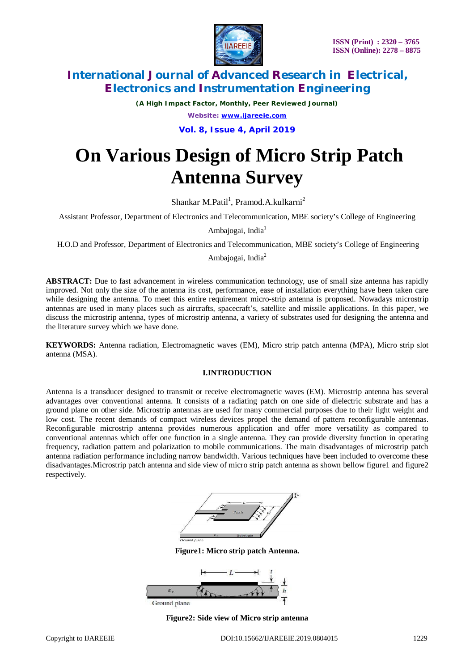

*(A High Impact Factor, Monthly, Peer Reviewed Journal) Website: [www.ijareeie.com](http://www.ijareeie.com)*

**Vol. 8, Issue 4, April 2019**

# **On Various Design of Micro Strip Patch Antenna Survey**

Shankar M.Patil<sup>1</sup>, Pramod.A.kulkarni<sup>2</sup>

Assistant Professor, Department of Electronics and Telecommunication, MBE society's College of Engineering

Ambajogai, India<sup>1</sup>

H.O.D and Professor, Department of Electronics and Telecommunication, MBE society's College of Engineering

Ambajogai, India<sup>2</sup>

**ABSTRACT:** Due to fast advancement in wireless communication technology, use of small size antenna has rapidly improved. Not only the size of the antenna its cost, performance, ease of installation everything have been taken care while designing the antenna. To meet this entire requirement micro-strip antenna is proposed. Nowadays microstrip antennas are used in many places such as aircrafts, spacecraft's, satellite and missile applications. In this paper, we discuss the microstrip antenna, types of microstrip antenna, a variety of substrates used for designing the antenna and the literature survey which we have done.

**KEYWORDS:** Antenna radiation, Electromagnetic waves (EM), Micro strip patch antenna (MPA), Micro strip slot antenna (MSA).

### **I.INTRODUCTION**

Antenna is a transducer designed to transmit or receive electromagnetic waves (EM). Microstrip antenna has several advantages over conventional antenna. It consists of a radiating patch on one side of dielectric substrate and has a ground plane on other side. Microstrip antennas are used for many commercial purposes due to their light weight and low cost. The recent demands of compact wireless devices propel the demand of pattern reconfigurable antennas. Reconfigurable microstrip antenna provides numerous application and offer more versatility as compared to conventional antennas which offer one function in a single antenna. They can provide diversity function in operating frequency, radiation pattern and polarization to mobile communications. The main disadvantages of microstrip patch antenna radiation performance including narrow bandwidth. Various techniques have been included to overcome these disadvantages.Microstrip patch antenna and side view of micro strip patch antenna as shown bellow figure1 and figure2 respectively.



**Figure1: Micro strip patch Antenna.**



**Figure2: Side view of Micro strip antenna**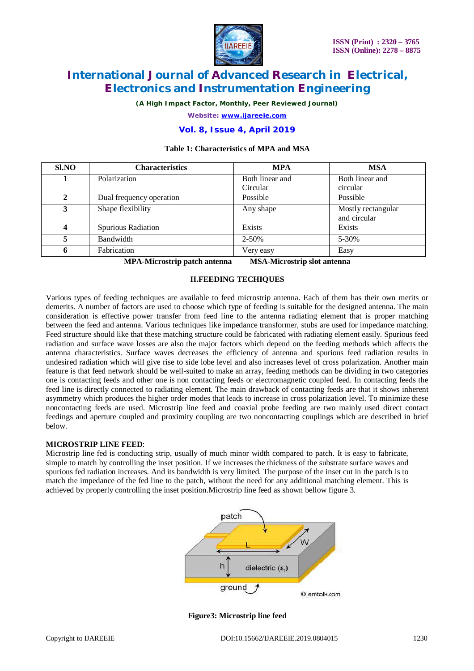

*(A High Impact Factor, Monthly, Peer Reviewed Journal)*

*Website: [www.ijareeie.com](http://www.ijareeie.com)*

### **Vol. 8, Issue 4, April 2019**

### **Table 1: Characteristics of MPA and MSA**

| Sl.NO | <b>Characteristics</b>   | <b>MPA</b>                  | <b>MSA</b>                         |
|-------|--------------------------|-----------------------------|------------------------------------|
|       | Polarization             | Both linear and<br>Circular | Both linear and<br>circular        |
| 2     | Dual frequency operation | Possible                    | Possible                           |
| 3     | Shape flexibility        | Any shape                   | Mostly rectangular<br>and circular |
|       | Spurious Radiation       | Exists                      | Exists                             |
| 5     | Bandwidth                | 2-50%                       | 5-30%                              |
| 6     | Fabrication              | Very easy                   | Easy                               |

**MPA-Microstrip patch antenna MSA-Microstrip slot antenna**

#### **II.FEEDING TECHIQUES**

Various types of feeding techniques are available to feed microstrip antenna. Each of them has their own merits or demerits. A number of factors are used to choose which type of feeding is suitable for the designed antenna. The main consideration is effective power transfer from feed line to the antenna radiating element that is proper matching between the feed and antenna. Various techniques like impedance transformer, stubs are used for impedance matching. Feed structure should like that these matching structure could be fabricated with radiating element easily. Spurious feed radiation and surface wave losses are also the major factors which depend on the feeding methods which affects the antenna characteristics. Surface waves decreases the efficiency of antenna and spurious feed radiation results in undesired radiation which will give rise to side lobe level and also increases level of cross polarization. Another main feature is that feed network should be well-suited to make an array, feeding methods can be dividing in two categories one is contacting feeds and other one is non contacting feeds or electromagnetic coupled feed. In contacting feeds the feed line is directly connected to radiating element. The main drawback of contacting feeds are that it shows inherent asymmetry which produces the higher order modes that leads to increase in cross polarization level. To minimize these noncontacting feeds are used. Microstrip line feed and coaxial probe feeding are two mainly used direct contact feedings and aperture coupled and proximity coupling are two noncontacting couplings which are described in brief below.

#### **MICROSTRIP LINE FEED**:

Microstrip line fed is conducting strip, usually of much minor width compared to patch. It is easy to fabricate, simple to match by controlling the inset position. If we increases the thickness of the substrate surface waves and spurious fed radiation increases. And its bandwidth is very limited. The purpose of the inset cut in the patch is to match the impedance of the fed line to the patch, without the need for any additional matching element. This is achieved by properly controlling the inset position.Microstrip line feed as shown bellow figure 3.



#### **Figure3: Microstrip line feed**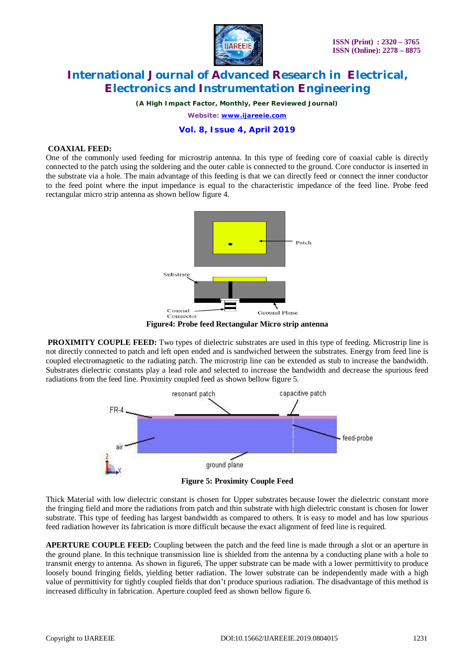

*(A High Impact Factor, Monthly, Peer Reviewed Journal)*

*Website: [www.ijareeie.com](http://www.ijareeie.com)*

### **Vol. 8, Issue 4, April 2019**

#### **COAXIAL FEED:**

One of the commonly used feeding for microstrip antenna. In this type of feeding core of coaxial cable is directly connected to the patch using the soldering and the outer cable is connected to the ground. Core conductor is inserted in the substrate via a hole. The main advantage of this feeding is that we can directly feed or connect the inner conductor to the feed point where the input impedance is equal to the characteristic impedance of the feed line. Probe feed rectangular micro strip antenna as shown bellow figure 4.

![](_page_2_Figure_8.jpeg)

**Figure4: Probe feed Rectangular Micro strip antenna**

**PROXIMITY COUPLE FEED:** Two types of dielectric substrates are used in this type of feeding. Microstrip line is not directly connected to patch and left open ended and is sandwiched between the substrates. Energy from feed line is coupled electromagnetic to the radiating patch. The microstrip line can be extended as stub to increase the bandwidth. Substrates dielectric constants play a lead role and selected to increase the bandwidth and decrease the spurious feed radiations from the feed line. Proximity coupled feed as shown bellow figure 5.

![](_page_2_Figure_11.jpeg)

**Figure 5: Proximity Couple Feed**

Thick Material with low dielectric constant is chosen for Upper substrates because lower the dielectric constant more the fringing field and more the radiations from patch and thin substrate with high dielectric constant is chosen for lower substrate. This type of feeding has largest bandwidth as compared to others. It is easy to model and has low spurious feed radiation however its fabrication is more difficult because the exact alignment of feed line is required.

**APERTURE COUPLE FEED:** Coupling between the patch and the feed line is made through a slot or an aperture in the ground plane. In this technique transmission line is shielded from the antenna by a conducting plane with a hole to transmit energy to antenna. As shown in figure6, The upper substrate can be made with a lower permittivity to produce loosely bound fringing fields, yielding better radiation. The lower substrate can be independently made with a high value of permittivity for tightly coupled fields that don't produce spurious radiation. The disadvantage of this method is increased difficulty in fabrication. Aperture coupled feed as shown bellow figure 6.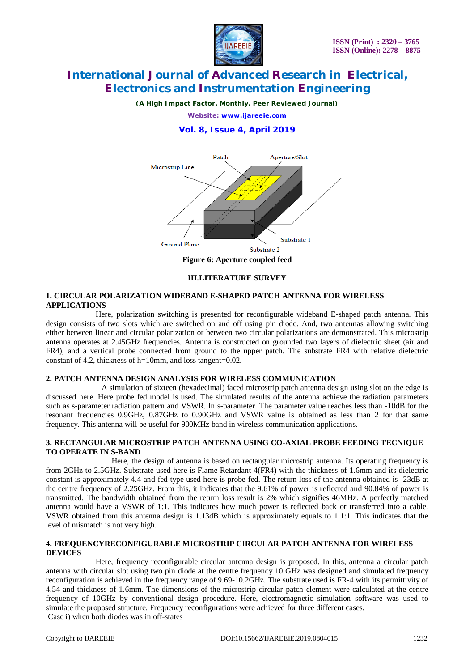![](_page_3_Picture_1.jpeg)

*(A High Impact Factor, Monthly, Peer Reviewed Journal)*

*Website: [www.ijareeie.com](http://www.ijareeie.com)*

### **Vol. 8, Issue 4, April 2019**

![](_page_3_Figure_6.jpeg)

**III.LITERATURE SURVEY**

#### **1. CIRCULAR POLARIZATION WIDEBAND E-SHAPED PATCH ANTENNA FOR WIRELESS APPLICATIONS**

 Here, polarization switching is presented for reconfigurable wideband E-shaped patch antenna. This design consists of two slots which are switched on and off using pin diode. And, two antennas allowing switching either between linear and circular polarization or between two circular polarizations are demonstrated. This microstrip antenna operates at 2.45GHz frequencies. Antenna is constructed on grounded two layers of dielectric sheet (air and FR4), and a vertical probe connected from ground to the upper patch. The substrate FR4 with relative dielectric constant of 4.2, thickness of h=10mm, and loss tangent=0.02.

#### **2. PATCH ANTENNA DESIGN ANALYSIS FOR WIRELESS COMMUNICATION**

 A simulation of sixteen (hexadecimal) faced microstrip patch antenna design using slot on the edge is discussed here. Here probe fed model is used. The simulated results of the antenna achieve the radiation parameters such as s-parameter radiation pattern and VSWR. In s-parameter. The parameter value reaches less than -10dB for the resonant frequencies 0.9GHz, 0.87GHz to 0.90GHz and VSWR value is obtained as less than 2 for that same frequency. This antenna will be useful for 900MHz band in wireless communication applications.

#### **3. RECTANGULAR MICROSTRIP PATCH ANTENNA USING CO-AXIAL PROBE FEEDING TECNIQUE TO OPERATE IN S-BAND**

 Here, the design of antenna is based on rectangular microstrip antenna. Its operating frequency is from 2GHz to 2.5GHz. Substrate used here is Flame Retardant 4(FR4) with the thickness of 1.6mm and its dielectric constant is approximately 4.4 and fed type used here is probe-fed. The return loss of the antenna obtained is -23dB at the centre frequency of 2.25GHz. From this, it indicates that the 9.61% of power is reflected and 90.84% of power is transmitted. The bandwidth obtained from the return loss result is 2% which signifies 46MHz. A perfectly matched antenna would have a VSWR of 1:1. This indicates how much power is reflected back or transferred into a cable. VSWR obtained from this antenna design is 1.13dB which is approximately equals to 1.1:1. This indicates that the level of mismatch is not very high.

#### **4. FREQUENCYRECONFIGURABLE MICROSTRIP CIRCULAR PATCH ANTENNA FOR WIRELESS DEVICES**

 Here, frequency reconfigurable circular antenna design is proposed. In this, antenna a circular patch antenna with circular slot using two pin diode at the centre frequency 10 GHz was designed and simulated frequency reconfiguration is achieved in the frequency range of 9.69-10.2GHz. The substrate used is FR-4 with its permittivity of 4.54 and thickness of 1.6mm. The dimensions of the microstrip circular patch element were calculated at the centre frequency of 10GHz by conventional design procedure. Here, electromagnetic simulation software was used to simulate the proposed structure. Frequency reconfigurations were achieved for three different cases. Case i) when both diodes was in off-states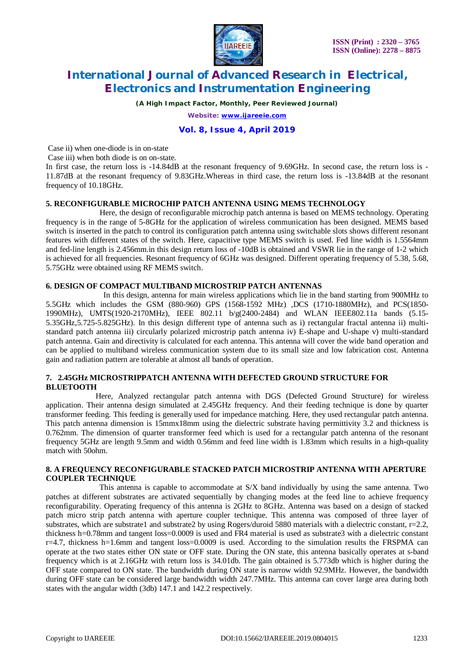![](_page_4_Picture_0.jpeg)

*(A High Impact Factor, Monthly, Peer Reviewed Journal)*

*Website: [www.ijareeie.com](http://www.ijareeie.com)*

### **Vol. 8, Issue 4, April 2019**

Case ii) when one-diode is in on-state

Case iii) when both diode is on on-state.

In first case, the return loss is -14.84dB at the resonant frequency of 9.69GHz. In second case, the return loss is - 11.87dB at the resonant frequency of 9.83GHz.Whereas in third case, the return loss is -13.84dB at the resonant frequency of 10.18GHz.

#### **5. RECONFIGURABLE MICROCHIP PATCH ANTENNA USING MEMS TECHNOLOGY**

 Here, the design of reconfigurable microchip patch antenna is based on MEMS technology. Operating frequency is in the range of 5-8GHz for the application of wireless communication has been designed. MEMS based switch is inserted in the patch to control its configuration patch antenna using switchable slots shows different resonant features with different states of the switch. Here, capacitive type MEMS switch is used. Fed line width is 1.5564mm and fed-line length is 2.456mm.in this design return loss of -10dB is obtained and VSWR lie in the range of 1-2 which is achieved for all frequencies. Resonant frequency of 6GHz was designed. Different operating frequency of 5.38, 5.68, 5.75GHz were obtained using RF MEMS switch.

### **6. DESIGN OF COMPACT MULTIBAND MICROSTRIP PATCH ANTENNAS**

 In this design, antenna for main wireless applications which lie in the band starting from 900MHz to 5.5GHz which includes the GSM (880-960) GPS (1568-1592 MHz) ,DCS (1710-1880MHz), and PCS(1850- 1990MHz), UMTS(1920-2170MHz), IEEE 802.11 b/g(2400-2484) and WLAN IEEE802.11a bands (5.15- 5.35GHz,5.725-5.825GHz). In this design different type of antenna such as i) rectangular fractal antenna ii) multistandard patch antenna iii) circularly polarized microstrip patch antenna iv) E-shape and U-shape v) multi-standard patch antenna. Gain and directivity is calculated for each antenna. This antenna will cover the wide band operation and can be applied to multiband wireless communication system due to its small size and low fabrication cost. Antenna gain and radiation pattern are tolerable at almost all bands of operation.

#### **7. 2.45GHz MICROSTRIPPATCH ANTENNA WITH DEFECTED GROUND STRUCTURE FOR BLUETOOTH**

 Here, Analyzed rectangular patch antenna with DGS (Defected Ground Structure) for wireless application. Their antenna design simulated at 2.45GHz frequency. And their feeding technique is done by quarter transformer feeding. This feeding is generally used for impedance matching. Here, they used rectangular patch antenna. This patch antenna dimension is 15mmx18mm using the dielectric substrate having permittivity 3.2 and thickness is 0.762mm. The dimension of quarter transformer feed which is used for a rectangular patch antenna of the resonant frequency 5GHz are length 9.5mm and width 0.56mm and feed line width is 1.83mm which results in a high-quality match with 50ohm.

#### **8. A FREQUENCY RECONFIGURABLE STACKED PATCH MICROSTRIP ANTENNA WITH APERTURE COUPLER TECHNIQUE**

 This antenna is capable to accommodate at S/X band individually by using the same antenna. Two patches at different substrates are activated sequentially by changing modes at the feed line to achieve frequency reconfigurability. Operating frequency of this antenna is 2GHz to 8GHz. Antenna was based on a design of stacked patch micro strip patch antenna with aperture coupler technique. This antenna was composed of three layer of substrates, which are substrate1 and substrate2 by using Rogers/duroid 5880 materials with a dielectric constant, r=2.2, thickness h=0.78mm and tangent loss=0.0009 is used and FR4 material is used as substrate3 with a dielectric constant r=4.7, thickness h=1.6mm and tangent loss=0.0009 is used. According to the simulation results the FRSPMA can operate at the two states either ON state or OFF state. During the ON state, this antenna basically operates at s-band frequency which is at 2.16GHz with return loss is 34.01db. The gain obtained is 5.773db which is higher during the OFF state compared to ON state. The bandwidth during ON state is narrow width 92.9MHz. However, the bandwidth during OFF state can be considered large bandwidth width 247.7MHz. This antenna can cover large area during both states with the angular width (3db) 147.1 and 142.2 respectively.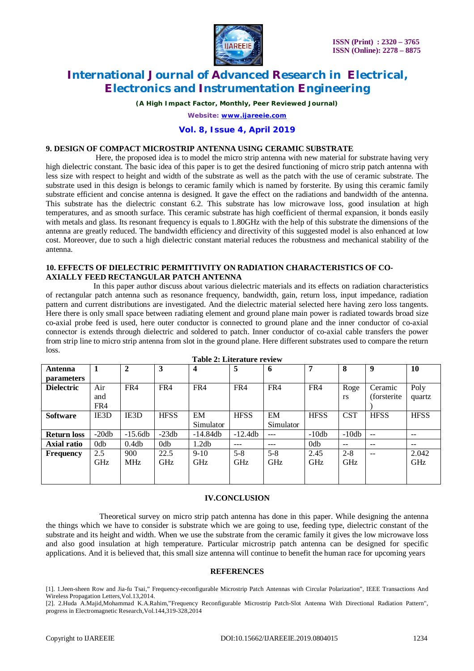![](_page_5_Picture_0.jpeg)

*(A High Impact Factor, Monthly, Peer Reviewed Journal)*

*Website: [www.ijareeie.com](http://www.ijareeie.com)*

#### **Vol. 8, Issue 4, April 2019**

#### **9. DESIGN OF COMPACT MICROSTRIP ANTENNA USING CERAMIC SUBSTRATE**

 Here, the proposed idea is to model the micro strip antenna with new material for substrate having very high dielectric constant. The basic idea of this paper is to get the desired functioning of micro strip patch antenna with less size with respect to height and width of the substrate as well as the patch with the use of ceramic substrate. The substrate used in this design is belongs to ceramic family which is named by forsterite. By using this ceramic family substrate efficient and concise antenna is designed. It gave the effect on the radiations and bandwidth of the antenna. This substrate has the dielectric constant 6.2. This substrate has low microwave loss, good insulation at high temperatures, and as smooth surface. This ceramic substrate has high coefficient of thermal expansion, it bonds easily with metals and glass. Its resonant frequency is equals to 1.80GHz with the help of this substrate the dimensions of the antenna are greatly reduced. The bandwidth efficiency and directivity of this suggested model is also enhanced at low cost. Moreover, due to such a high dielectric constant material reduces the robustness and mechanical stability of the antenna.

#### **10. EFFECTS OF DIELECTRIC PERMITTIVITY ON RADIATION CHARACTERISTICS OF CO-AXIALLY FEED RECTANGULAR PATCH ANTENNA**

 In this paper author discuss about various dielectric materials and its effects on radiation characteristics of rectangular patch antenna such as resonance frequency, bandwidth, gain, return loss, input impedance, radiation pattern and current distributions are investigated. And the dielectric material selected here having zero loss tangents. Here there is only small space between radiating element and ground plane main power is radiated towards broad size co-axial probe feed is used, here outer conductor is connected to ground plane and the inner conductor of co-axial connector is extends through dielectric and soldered to patch. Inner conductor of co-axial cable transfers the power from strip line to micro strip antenna from slot in the ground plane. Here different substrates used to compare the return  $l$ oss.

| Antenna            | 1          | $\mathbf{2}$ | 3                | 4          | 5           | 6          | 7                | 8          | 9            | 10          |
|--------------------|------------|--------------|------------------|------------|-------------|------------|------------------|------------|--------------|-------------|
| <b>parameters</b>  |            |              |                  |            |             |            |                  |            |              |             |
| <b>Dielectric</b>  | Air        | FR4          | FR4              | FR4        | FR4         | FR4        | FR4              | Roge       | Ceramic      | Poly        |
|                    | and        |              |                  |            |             |            |                  | <b>rs</b>  | (forsterite) | quartz      |
|                    | FR4        |              |                  |            |             |            |                  |            |              |             |
| <b>Software</b>    | IE3D       | IE3D         | <b>HFSS</b>      | EM         | <b>HFSS</b> | EM         | <b>HFSS</b>      | <b>CST</b> | <b>HFSS</b>  | <b>HFSS</b> |
|                    |            |              |                  | Simulator  |             | Simulator  |                  |            |              |             |
| <b>Return loss</b> | $-20db$    | $-15.6db$    | $-23db$          | $-14.84db$ | $-12.4db$   | $---$      | $-10db$          | $-10db$    | $- -$        |             |
| Axial ratio        | 0db        | 0.4db        | 0 <sub>d</sub> b | 1.2db      |             | ---        | 0 <sub>d</sub> b | --         | --           | $- -$       |
| <b>Frequency</b>   | 2.5        | 900          | 22.5             | $9-10$     | $5 - 8$     | $5-8$      | 2.45             | $2 - 8$    | --           | 2.042       |
|                    | <b>GHz</b> | MHz          | <b>GHz</b>       | <b>GHz</b> | <b>GHz</b>  | <b>GHz</b> | <b>GHz</b>       | GHz        |              | <b>GHz</b>  |
|                    |            |              |                  |            |             |            |                  |            |              |             |
|                    |            |              |                  |            |             |            |                  |            |              |             |

|  |  | <b>Table 2: Literature review</b> |  |
|--|--|-----------------------------------|--|
|--|--|-----------------------------------|--|

#### **IV.CONCLUSION**

 Theoretical survey on micro strip patch antenna has done in this paper. While designing the antenna the things which we have to consider is substrate which we are going to use, feeding type, dielectric constant of the substrate and its height and width. When we use the substrate from the ceramic family it gives the low microwave loss and also good insulation at high temperature. Particular microstrip patch antenna can be designed for specific applications. And it is believed that, this small size antenna will continue to benefit the human race for upcoming years

#### **REFERENCES**

<sup>[1]. 1.</sup>Jeen-sheen Row and Jia-fu Tsai," Frequency-reconfigurable Microstrip Patch Antennas with Circular Polarization", IEEE Transactions And Wireless Propagation Letters,Vol.13,2014.

<sup>[2]. 2.</sup>Huda A.Majid,Mohammad K.A.Rahim,"Frequency Reconfigurable Microstrip Patch-Slot Antenna With Directional Radiation Pattern", progress in Electromagnetic Research,Vol.144,319-328,2014